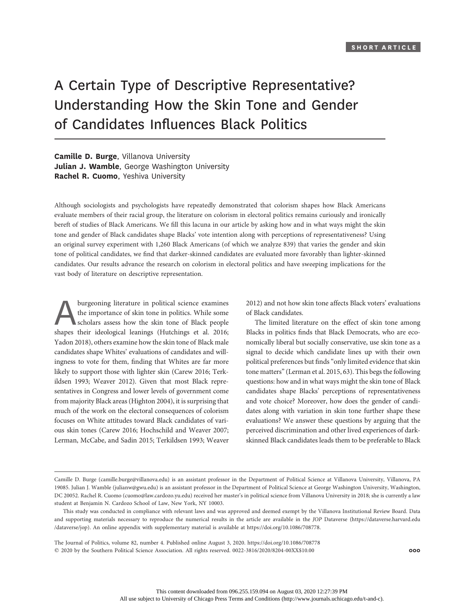# A Certain Type of Descriptive Representative? Understanding How the Skin Tone and Gender of Candidates Influences Black Politics

Camille D. Burge, Villanova University Julian J. Wamble, George Washington University Rachel R. Cuomo, Yeshiva University

Although sociologists and psychologists have repeatedly demonstrated that colorism shapes how Black Americans evaluate members of their racial group, the literature on colorism in electoral politics remains curiously and ironically bereft of studies of Black Americans. We fill this lacuna in our article by asking how and in what ways might the skin tone and gender of Black candidates shape Blacks' vote intention along with perceptions of representativeness? Using an original survey experiment with 1,260 Black Americans (of which we analyze 839) that varies the gender and skin tone of political candidates, we find that darker-skinned candidates are evaluated more favorably than lighter-skinned candidates. Our results advance the research on colorism in electoral politics and have sweeping implications for the vast body of literature on descriptive representation.

burgeoning literature in political science examines<br>the importance of skin tone in politics. While some<br>scholars assess how the skin tone of Black people<br>shapes their ideological leanings (Hutchings et al. 2016: the importance of skin tone in politics. While some scholars assess how the skin tone of Black people shapes their ideological leanings (Hutchings et al. 2016; Yadon 2018), others examine how the skin tone of Black male candidates shape Whites' evaluations of candidates and willingness to vote for them, finding that Whites are far more likely to support those with lighter skin (Carew 2016; Terkildsen 1993; Weaver 2012). Given that most Black representatives in Congress and lower levels of government come from majority Black areas (Highton 2004), it is surprising that much of the work on the electoral consequences of colorism focuses on White attitudes toward Black candidates of various skin tones (Carew 2016; Hochschild and Weaver 2007; Lerman, McCabe, and Sadin 2015; Terkildsen 1993; Weaver

2012) and not how skin tone affects Black voters' evaluations of Black candidates.

The limited literature on the effect of skin tone among Blacks in politics finds that Black Democrats, who are economically liberal but socially conservative, use skin tone as a signal to decide which candidate lines up with their own political preferences but finds"only limited evidence that skin tone matters"(Lerman et al. 2015, 63). This begs the following questions: how and in what ways might the skin tone of Black candidates shape Blacks' perceptions of representativeness and vote choice? Moreover, how does the gender of candidates along with variation in skin tone further shape these evaluations? We answer these questions by arguing that the perceived discrimination and other lived experiences of darkskinned Black candidates leads them to be preferable to Black

The Journal of Politics, volume 82, number 4. Published online August 3, 2020. https://doi.org/10.1086/708778  $@$  2020 by the Southern Political Science Association. All rights reserved. 0022-3816/2020/8204-00XX\$10.00  $@$  000

Camille D. Burge (camille.burge@villanova.edu) is an assistant professor in the Department of Political Science at Villanova University, Villanova, PA 19085. Julian J. Wamble (julianw@gwu.edu) is an assistant professor in the Department of Political Science at George Washington University, Washington, DC 20052. Rachel R. Cuomo (cuomo@law.cardozo.yu.edu) received her master's in political science from Villanova University in 2018; she is currently a law student at Benjamin N. Cardozo School of Law, New York, NY 10003.

This study was conducted in compliance with relevant laws and was approved and deemed exempt by the Villanova Institutional Review Board. Data and supporting materials necessary to reproduce the numerical results in the article are available in the JOP Dataverse (https://dataverse.harvard.edu /dataverse/jop). An online appendix with supplementary material is available at https://doi.org/10.1086/708778.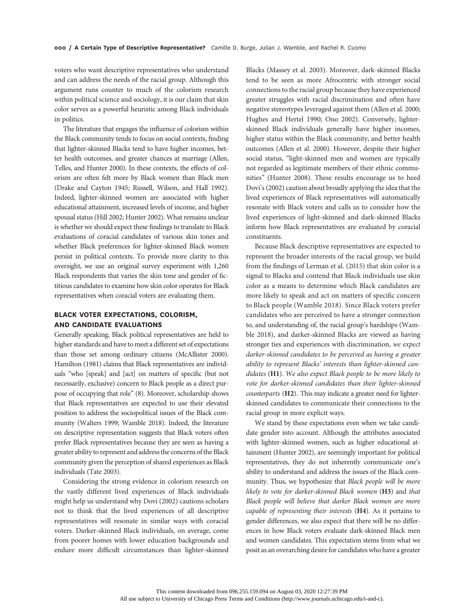voters who want descriptive representatives who understand and can address the needs of the racial group. Although this argument runs counter to much of the colorism research within political science and sociology, it is our claim that skin color serves as a powerful heuristic among Black individuals in politics.

The literature that engages the influence of colorism within the Black community tends to focus on social contexts, finding that lighter-skinned Blacks tend to have higher incomes, better health outcomes, and greater chances at marriage (Allen, Telles, and Hunter 2000). In these contexts, the effects of colorism are often felt more by Black women than Black men (Drake and Cayton 1945; Russell, Wilson, and Hall 1992). Indeed, lighter-skinned women are associated with higher educational attainment, increased levels of income, and higher spousal status (Hill 2002; Hunter 2002). What remains unclear is whether we should expect these findings to translate to Black evaluations of coracial candidates of various skin tones and whether Black preferences for lighter-skinned Black women persist in political contexts. To provide more clarity to this oversight, we use an original survey experiment with 1,260 Black respondents that varies the skin tone and gender of fictitious candidates to examine how skin color operates for Black representatives when coracial voters are evaluating them.

## BLACK VOTER EXPECTATIONS, COLORISM,<br>AND CANDIDATE EVALUATIONS

Generally speaking, Black political representatives are held to higher standards and have to meet a different set of expectations than those set among ordinary citizens (McAllister 2000). Hamilton (1981) claims that Black representatives are individuals "who [speak] and [act] on matters of specific (but not necessarily, exclusive) concern to Black people as a direct purpose of occupying that role" (8). Moreover, scholarship shows that Black representatives are expected to use their elevated position to address the sociopolitical issues of the Black community (Walters 1999; Wamble 2018). Indeed, the literature on descriptive representation suggests that Black voters often prefer Black representatives because they are seen as having a greater ability to represent and address the concerns of the Black community given the perception of shared experiences as Black individuals (Tate 2003).

Considering the strong evidence in colorism research on the vastly different lived experiences of Black individuals might help us understand why Dovi (2002) cautions scholars not to think that the lived experiences of all descriptive representatives will resonate in similar ways with coracial voters. Darker-skinned Black individuals, on average, come from poorer homes with lower education backgrounds and endure more difficult circumstances than lighter-skinned

Blacks (Massey et al. 2003). Moreover, dark-skinned Blacks tend to be seen as more Afrocentric with stronger social connections to the racial group because they have experienced greater struggles with racial discrimination and often have negative stereotypes leveraged against them (Allen et al. 2000; Hughes and Hertel 1990; Ono 2002). Conversely, lighterskinned Black individuals generally have higher incomes, higher status within the Black community, and better health outcomes (Allen et al. 2000). However, despite their higher social status, "light-skinned men and women are typically not regarded as legitimate members of their ethnic communities" (Hunter 2008). These results encourage us to heed Dovi's (2002) caution about broadly applying the idea that the lived experiences of Black representatives will automatically resonate with Black voters and calls us to consider how the lived experiences of light-skinned and dark-skinned Blacks inform how Black representatives are evaluated by coracial constituents.

Because Black descriptive representatives are expected to represent the broader interests of the racial group, we build from the findings of Lerman et al. (2015) that skin color is a signal to Blacks and contend that Black individuals use skin color as a means to determine which Black candidates are more likely to speak and act on matters of specific concern to Black people (Wamble 2018). Since Black voters prefer candidates who are perceived to have a stronger connection to, and understanding of, the racial group's hardships (Wamble 2018), and darker-skinned Blacks are viewed as having stronger ties and experiences with discrimination, we expect darker-skinned candidates to be perceived as having a greater ability to represent Blacks' interests than lighter-skinned candidates (H1). We also expect Black people to be more likely to vote for darker-skinned candidates than their lighter-skinned counterparts (H2). This may indicate a greater need for lighterskinned candidates to communicate their connections to the racial group in more explicit ways.

We stand by these expectations even when we take candidate gender into account. Although the attributes associated with lighter-skinned women, such as higher educational attainment (Hunter 2002), are seemingly important for political representatives, they do not inherently communicate one's ability to understand and address the issues of the Black community. Thus, we hypothesize that Black people will be more likely to vote for darker-skinned Black women (H3) and that Black people will believe that darker Black women are more capable of representing their interests (H4). As it pertains to gender differences, we also expect that there will be no differences in how Black voters evaluate dark-skinned Black men and women candidates. This expectation stems from what we posit as an overarching desire for candidates who have a greater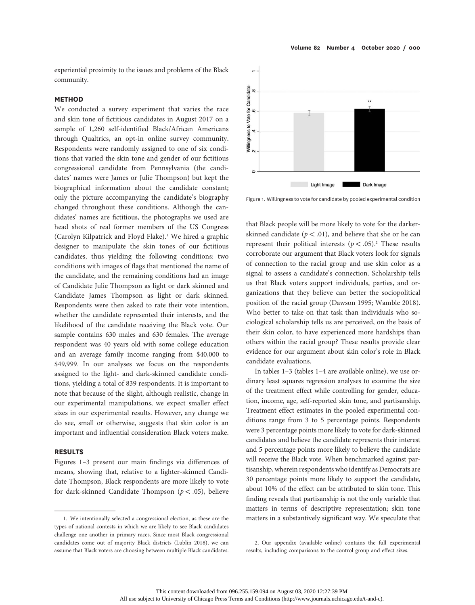experiential proximity to the issues and problems of the Black community.

### **METHOD**

We conducted a survey experiment that varies the race and skin tone of fictitious candidates in August 2017 on a sample of 1,260 self-identified Black/African Americans through Qualtrics, an opt-in online survey community. Respondents were randomly assigned to one of six conditions that varied the skin tone and gender of our fictitious congressional candidate from Pennsylvania (the candidates' names were James or Julie Thompson) but kept the biographical information about the candidate constant; only the picture accompanying the candidate's biography changed throughout these conditions. Although the candidates' names are fictitious, the photographs we used are head shots of real former members of the US Congress (Carolyn Kilpatrick and Floyd Flake).<sup>1</sup> We hired a graphic designer to manipulate the skin tones of our fictitious candidates, thus yielding the following conditions: two conditions with images of flags that mentioned the name of the candidate, and the remaining conditions had an image of Candidate Julie Thompson as light or dark skinned and Candidate James Thompson as light or dark skinned. Respondents were then asked to rate their vote intention, whether the candidate represented their interests, and the likelihood of the candidate receiving the Black vote. Our sample contains 630 males and 630 females. The average respondent was 40 years old with some college education and an average family income ranging from \$40,000 to \$49,999. In our analyses we focus on the respondents assigned to the light- and dark-skinned candidate conditions, yielding a total of 839 respondents. It is important to note that because of the slight, although realistic, change in our experimental manipulations, we expect smaller effect sizes in our experimental results. However, any change we do see, small or otherwise, suggests that skin color is an important and influential consideration Black voters make.

#### **RESULTS**

Figures 1-3 present our main findings via differences of means, showing that, relative to a lighter-skinned Candidate Thompson, Black respondents are more likely to vote for dark-skinned Candidate Thompson ( $p < .05$ ), believe



Figure 1. Willingness to vote for candidate by pooled experimental condition

that Black people will be more likely to vote for the darkerskinned candidate ( $p < .01$ ), and believe that she or he can represent their political interests  $(p < .05)^2$ . These results corroborate our argument that Black voters look for signals of connection to the racial group and use skin color as a signal to assess a candidate's connection. Scholarship tells us that Black voters support individuals, parties, and organizations that they believe can better the sociopolitical position of the racial group (Dawson 1995; Wamble 2018). Who better to take on that task than individuals who sociological scholarship tells us are perceived, on the basis of their skin color, to have experienced more hardships than others within the racial group? These results provide clear evidence for our argument about skin color's role in Black candidate evaluations.

In tables 1–3 (tables 1–4 are available online), we use ordinary least squares regression analyses to examine the size of the treatment effect while controlling for gender, education, income, age, self-reported skin tone, and partisanship. Treatment effect estimates in the pooled experimental conditions range from 3 to 5 percentage points. Respondents were 3 percentage points more likely to vote for dark-skinned candidates and believe the candidate represents their interest and 5 percentage points more likely to believe the candidate will receive the Black vote. When benchmarked against partisanship, wherein respondents who identify as Democrats are 30 percentage points more likely to support the candidate, about 10% of the effect can be attributed to skin tone. This finding reveals that partisanship is not the only variable that matters in terms of descriptive representation; skin tone 1. We intentionally selected a congressional election, as these are the matters in a substantively significant way. We speculate that

types of national contests in which we are likely to see Black candidates challenge one another in primary races. Since most Black congressional candidates come out of majority Black districts (Lublin 2018), we can assume that Black voters are choosing between multiple Black candidates.

<sup>2.</sup> Our appendix (available online) contains the full experimental results, including comparisons to the control group and effect sizes.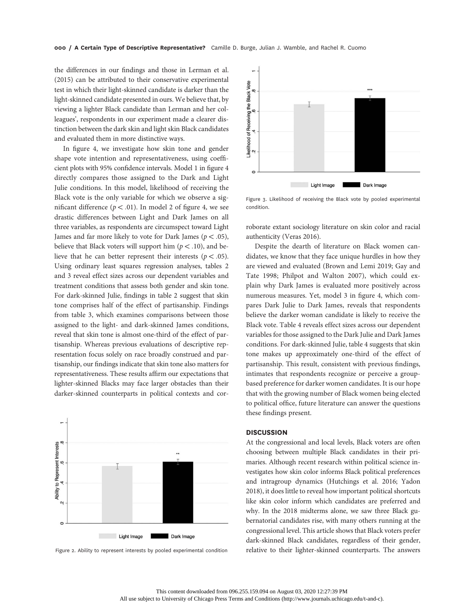the differences in our findings and those in Lerman et al. (2015) can be attributed to their conservative experimental test in which their light-skinned candidate is darker than the light-skinned candidate presented in ours. We believe that, by viewing a lighter Black candidate than Lerman and her colleagues', respondents in our experiment made a clearer distinction between the dark skin and light skin Black candidates and evaluated them in more distinctive ways.

In figure 4, we investigate how skin tone and gender shape vote intention and representativeness, using coefficient plots with 95% confidence intervals. Model 1 in figure 4 directly compares those assigned to the Dark and Light Julie conditions. In this model, likelihood of receiving the Black vote is the only variable for which we observe a significant difference ( $p < .01$ ). In model 2 of figure 4, we see drastic differences between Light and Dark James on all three variables, as respondents are circumspect toward Light James and far more likely to vote for Dark James ( $p < .05$ ), believe that Black voters will support him ( $p < .10$ ), and believe that he can better represent their interests ( $p < .05$ ). Using ordinary least squares regression analyses, tables 2 and 3 reveal effect sizes across our dependent variables and treatment conditions that assess both gender and skin tone. For dark-skinned Julie, findings in table 2 suggest that skin tone comprises half of the effect of partisanship. Findings from table 3, which examines comparisons between those assigned to the light- and dark-skinned James conditions, reveal that skin tone is almost one-third of the effect of partisanship. Whereas previous evaluations of descriptive representation focus solely on race broadly construed and partisanship, our findings indicate that skin tone also matters for representativeness. These results affirm our expectations that lighter-skinned Blacks may face larger obstacles than their darker-skinned counterparts in political contexts and cor-



Figure 2. Ability to represent interests by pooled experimental condition



Figure 3. Likelihood of receiving the Black vote by pooled experimental condition.

roborate extant sociology literature on skin color and racial authenticity (Veras 2016).

Despite the dearth of literature on Black women candidates, we know that they face unique hurdles in how they are viewed and evaluated (Brown and Lemi 2019; Gay and Tate 1998; Philpot and Walton 2007), which could explain why Dark James is evaluated more positively across numerous measures. Yet, model 3 in figure 4, which compares Dark Julie to Dark James, reveals that respondents believe the darker woman candidate is likely to receive the Black vote. Table 4 reveals effect sizes across our dependent variables for those assigned to the Dark Julie and Dark James conditions. For dark-skinned Julie, table 4 suggests that skin tone makes up approximately one-third of the effect of partisanship. This result, consistent with previous findings, intimates that respondents recognize or perceive a groupbased preference for darker women candidates. It is our hope that with the growing number of Black women being elected to political office, future literature can answer the questions these findings present.

#### **DISCUSSION**

At the congressional and local levels, Black voters are often choosing between multiple Black candidates in their primaries. Although recent research within political science investigates how skin color informs Black political preferences and intragroup dynamics (Hutchings et al. 2016; Yadon 2018), it does little to reveal how important political shortcuts like skin color inform which candidates are preferred and why. In the 2018 midterms alone, we saw three Black gubernatorial candidates rise, with many others running at the congressional level. This article shows that Black voters prefer dark-skinned Black candidates, regardless of their gender, relative to their lighter-skinned counterparts. The answers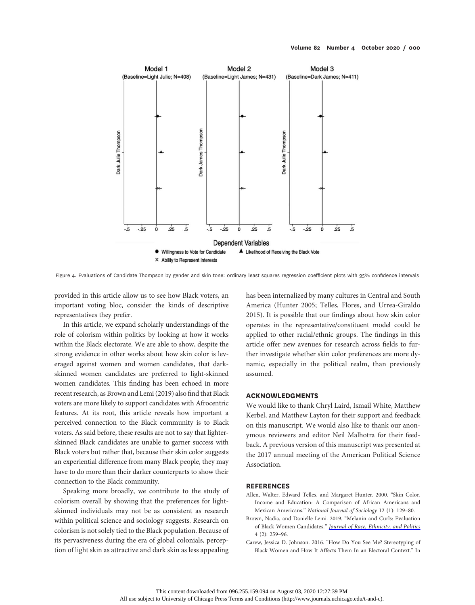

Figure 4. Evaluations of Candidate Thompson by gender and skin tone: ordinary least squares regression coefficient plots with 95% confidence intervals

provided in this article allow us to see how Black voters, an important voting bloc, consider the kinds of descriptive representatives they prefer.

In this article, we expand scholarly understandings of the role of colorism within politics by looking at how it works within the Black electorate. We are able to show, despite the strong evidence in other works about how skin color is leveraged against women and women candidates, that darkskinned women candidates are preferred to light-skinned women candidates. This finding has been echoed in more recent research, as Brown and Lemi (2019) also find that Black voters are more likely to support candidates with Afrocentric features. At its root, this article reveals how important a perceived connection to the Black community is to Black voters. As said before, these results are not to say that lighterskinned Black candidates are unable to garner success with Black voters but rather that, because their skin color suggests an experiential difference from many Black people, they may have to do more than their darker counterparts to show their connection to the Black community.

Speaking more broadly, we contribute to the study of colorism overall by showing that the preferences for lightskinned individuals may not be as consistent as research within political science and sociology suggests. Research on colorism is not solely tied to the Black population. Because of its pervasiveness during the era of global colonials, perception of light skin as attractive and dark skin as less appealing

has been internalized by many cultures in Central and South America (Hunter 2005; Telles, Flores, and Urrea-Giraldo 2015). It is possible that our findings about how skin color operates in the representative/constituent model could be applied to other racial/ethnic groups. The findings in this article offer new avenues for research across fields to further investigate whether skin color preferences are more dynamic, especially in the political realm, than previously assumed.

### **ACKNOWLEDGMENTS**

We would like to thank Chryl Laird, Ismail White, Matthew Kerbel, and Matthew Layton for their support and feedback on this manuscript. We would also like to thank our anonymous reviewers and editor Neil Malhotra for their feedback. A previous version of this manuscript was presented at the 2017 annual meeting of the American Political Science Association.

#### **REFERENCES**

- Allen, Walter, Edward Telles, and Margaret Hunter. 2000. "Skin Color, Income and Education: A Comparison of African Americans and Mexican Americans." National Journal of Sociology 12 (1): 129–80.
- Brown, Nadia, and Danielle Lemi. 2019. "Melanin and Curls: Evaluation of Black Women Candidates." *Journal of Race*, *Ethnicity*, and Politics  $4(2): 259-96.$
- Carew, Jessica D. Johnson. 2016. "How Do You See Me? Stereotyping of Black Women and How It Affects Them In an Electoral Context." In